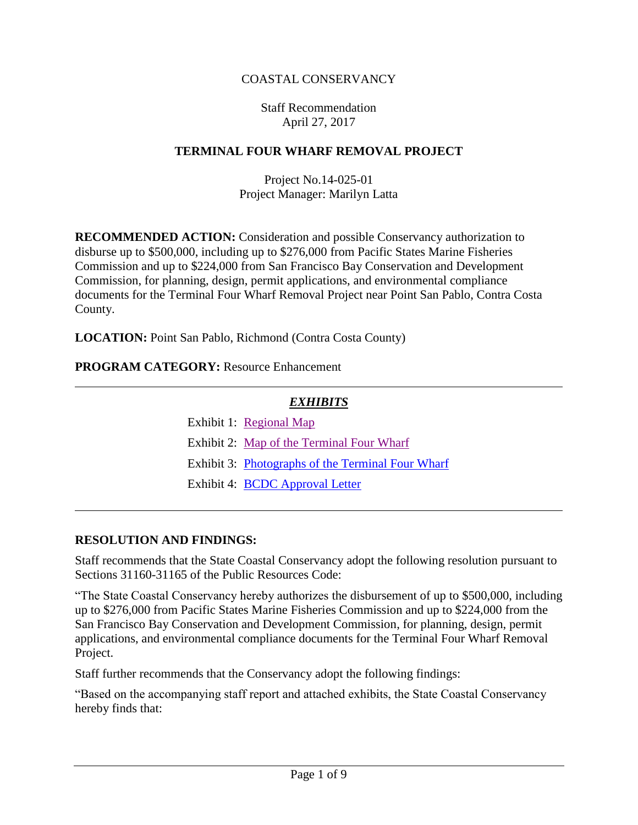### COASTAL CONSERVANCY

#### Staff Recommendation April 27, 2017

#### **TERMINAL FOUR WHARF REMOVAL PROJECT**

Project No.14-025-01 Project Manager: Marilyn Latta

**RECOMMENDED ACTION:** Consideration and possible Conservancy authorization to disburse up to \$500,000, including up to \$276,000 from Pacific States Marine Fisheries Commission and up to \$224,000 from San Francisco Bay Conservation and Development Commission, for planning, design, permit applications, and environmental compliance documents for the Terminal Four Wharf Removal Project near Point San Pablo, Contra Costa County.

**LOCATION:** Point San Pablo, Richmond (Contra Costa County)

#### **PROGRAM CATEGORY:** Resource Enhancement

### *EXHIBITS*

| Exhibit 1: Regional Map |
|-------------------------|
|                         |

- Exhibit 2: [Map of the Terminal Four Wharf](20170427Board05_Terminal_Four_Wharf_Ex2.pdf)
- Exhibit 3: Photographs [of the Terminal Four Wharf](20170427Board05_Terminal_Four_Wharf_Ex3.pdf)
- Exhibit 4: [BCDC Approval Letter](20170427Board05_Terminal_Four_Wharf_Ex4.pdf)

#### **RESOLUTION AND FINDINGS:**

Staff recommends that the State Coastal Conservancy adopt the following resolution pursuant to Sections 31160-31165 of the Public Resources Code:

"The State Coastal Conservancy hereby authorizes the disbursement of up to \$500,000, including up to \$276,000 from Pacific States Marine Fisheries Commission and up to \$224,000 from the San Francisco Bay Conservation and Development Commission, for planning, design, permit applications, and environmental compliance documents for the Terminal Four Wharf Removal Project.

Staff further recommends that the Conservancy adopt the following findings:

"Based on the accompanying staff report and attached exhibits, the State Coastal Conservancy hereby finds that: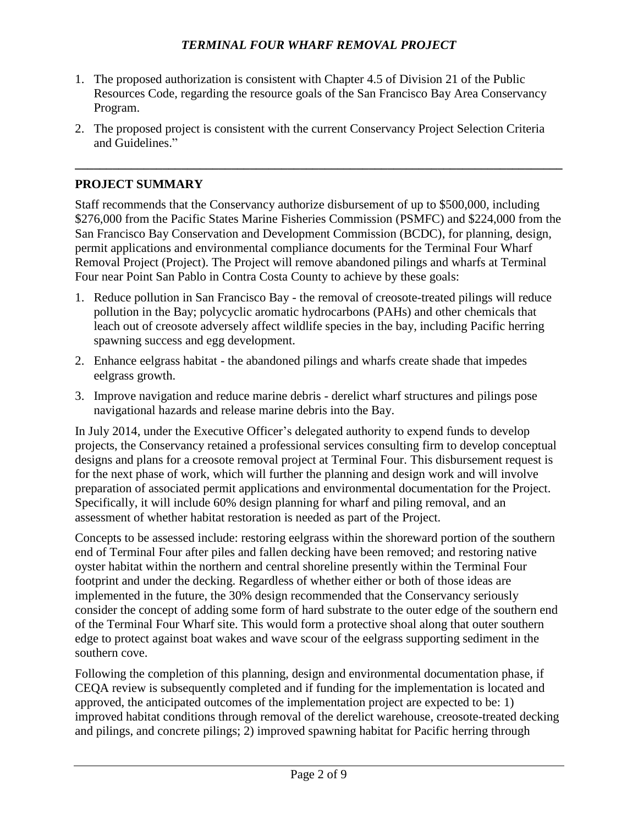- 1. The proposed authorization is consistent with Chapter 4.5 of Division 21 of the Public Resources Code, regarding the resource goals of the San Francisco Bay Area Conservancy Program.
- 2. The proposed project is consistent with the current Conservancy Project Selection Criteria and Guidelines."

**\_\_\_\_\_\_\_\_\_\_\_\_\_\_\_\_\_\_\_\_\_\_\_\_\_\_\_\_\_\_\_\_\_\_\_\_\_\_\_\_\_\_\_\_\_\_\_\_\_\_\_\_\_\_\_\_\_\_\_\_\_\_\_\_\_\_\_\_\_\_\_\_\_\_\_\_\_\_**

### **PROJECT SUMMARY**

Staff recommends that the Conservancy authorize disbursement of up to \$500,000, including \$276,000 from the Pacific States Marine Fisheries Commission (PSMFC) and \$224,000 from the San Francisco Bay Conservation and Development Commission (BCDC), for planning, design, permit applications and environmental compliance documents for the Terminal Four Wharf Removal Project (Project). The Project will remove abandoned pilings and wharfs at Terminal Four near Point San Pablo in Contra Costa County to achieve by these goals:

- 1. Reduce pollution in San Francisco Bay the removal of creosote-treated pilings will reduce pollution in the Bay; polycyclic aromatic hydrocarbons (PAHs) and other chemicals that leach out of creosote adversely affect wildlife species in the bay, including Pacific herring spawning success and egg development.
- 2. Enhance eelgrass habitat the abandoned pilings and wharfs create shade that impedes eelgrass growth.
- 3. Improve navigation and reduce marine debris derelict wharf structures and pilings pose navigational hazards and release marine debris into the Bay.

In July 2014, under the Executive Officer's delegated authority to expend funds to develop projects, the Conservancy retained a professional services consulting firm to develop conceptual designs and plans for a creosote removal project at Terminal Four. This disbursement request is for the next phase of work, which will further the planning and design work and will involve preparation of associated permit applications and environmental documentation for the Project. Specifically, it will include 60% design planning for wharf and piling removal, and an assessment of whether habitat restoration is needed as part of the Project.

Concepts to be assessed include: restoring eelgrass within the shoreward portion of the southern end of Terminal Four after piles and fallen decking have been removed; and restoring native oyster habitat within the northern and central shoreline presently within the Terminal Four footprint and under the decking. Regardless of whether either or both of those ideas are implemented in the future, the 30% design recommended that the Conservancy seriously consider the concept of adding some form of hard substrate to the outer edge of the southern end of the Terminal Four Wharf site. This would form a protective shoal along that outer southern edge to protect against boat wakes and wave scour of the eelgrass supporting sediment in the southern cove.

Following the completion of this planning, design and environmental documentation phase, if CEQA review is subsequently completed and if funding for the implementation is located and approved, the anticipated outcomes of the implementation project are expected to be: 1) improved habitat conditions through removal of the derelict warehouse, creosote-treated decking and pilings, and concrete pilings; 2) improved spawning habitat for Pacific herring through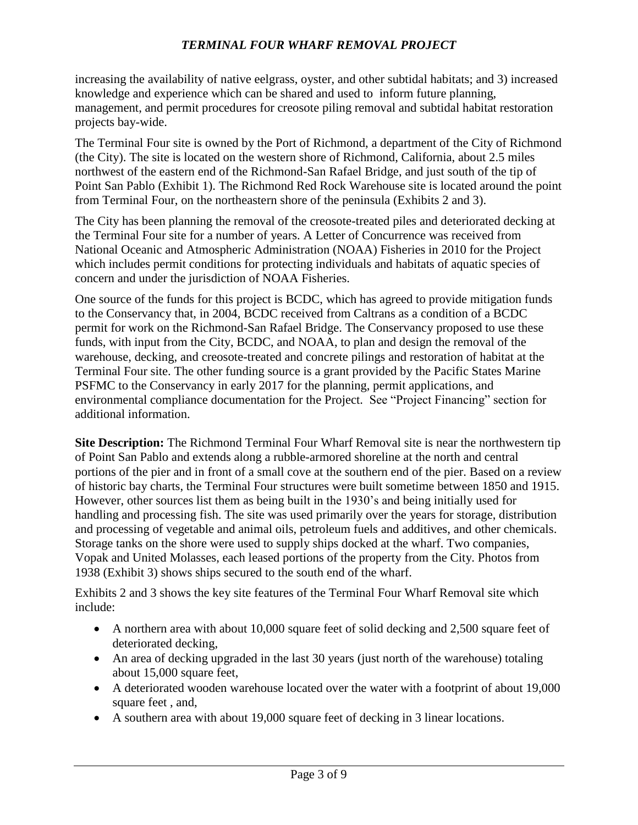increasing the availability of native eelgrass, oyster, and other subtidal habitats; and 3) increased knowledge and experience which can be shared and used to inform future planning, management, and permit procedures for creosote piling removal and subtidal habitat restoration projects bay-wide.

The Terminal Four site is owned by the Port of Richmond, a department of the City of Richmond (the City). The site is located on the western shore of Richmond, California, about 2.5 miles northwest of the eastern end of the Richmond-San Rafael Bridge, and just south of the tip of Point San Pablo (Exhibit 1). The Richmond Red Rock Warehouse site is located around the point from Terminal Four, on the northeastern shore of the peninsula (Exhibits 2 and 3).

The City has been planning the removal of the creosote-treated piles and deteriorated decking at the Terminal Four site for a number of years. A Letter of Concurrence was received from National Oceanic and Atmospheric Administration (NOAA) Fisheries in 2010 for the Project which includes permit conditions for protecting individuals and habitats of aquatic species of concern and under the jurisdiction of NOAA Fisheries.

One source of the funds for this project is BCDC, which has agreed to provide mitigation funds to the Conservancy that, in 2004, BCDC received from Caltrans as a condition of a BCDC permit for work on the Richmond-San Rafael Bridge. The Conservancy proposed to use these funds, with input from the City, BCDC, and NOAA, to plan and design the removal of the warehouse, decking, and creosote-treated and concrete pilings and restoration of habitat at the Terminal Four site. The other funding source is a grant provided by the Pacific States Marine PSFMC to the Conservancy in early 2017 for the planning, permit applications, and environmental compliance documentation for the Project. See "Project Financing" section for additional information.

**Site Description:** The Richmond Terminal Four Wharf Removal site is near the northwestern tip of Point San Pablo and extends along a rubble-armored shoreline at the north and central portions of the pier and in front of a small cove at the southern end of the pier. Based on a review of historic bay charts, the Terminal Four structures were built sometime between 1850 and 1915. However, other sources list them as being built in the 1930's and being initially used for handling and processing fish. The site was used primarily over the years for storage, distribution and processing of vegetable and animal oils, petroleum fuels and additives, and other chemicals. Storage tanks on the shore were used to supply ships docked at the wharf. Two companies, Vopak and United Molasses, each leased portions of the property from the City. Photos from 1938 (Exhibit 3) shows ships secured to the south end of the wharf.

Exhibits 2 and 3 shows the key site features of the Terminal Four Wharf Removal site which include:

- A northern area with about 10,000 square feet of solid decking and 2,500 square feet of deteriorated decking,
- An area of decking upgraded in the last 30 years (just north of the warehouse) totaling about 15,000 square feet,
- A deteriorated wooden warehouse located over the water with a footprint of about 19,000 square feet , and,
- A southern area with about 19,000 square feet of decking in 3 linear locations.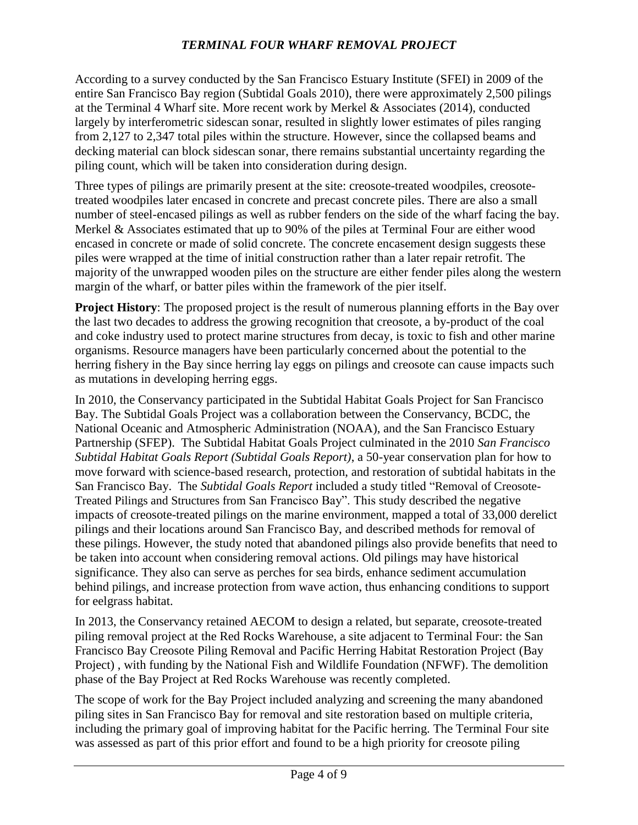According to a survey conducted by the San Francisco Estuary Institute (SFEI) in 2009 of the entire San Francisco Bay region (Subtidal Goals 2010), there were approximately 2,500 pilings at the Terminal 4 Wharf site. More recent work by Merkel & Associates (2014), conducted largely by interferometric sidescan sonar, resulted in slightly lower estimates of piles ranging from 2,127 to 2,347 total piles within the structure. However, since the collapsed beams and decking material can block sidescan sonar, there remains substantial uncertainty regarding the piling count, which will be taken into consideration during design.

Three types of pilings are primarily present at the site: creosote-treated woodpiles, creosotetreated woodpiles later encased in concrete and precast concrete piles. There are also a small number of steel-encased pilings as well as rubber fenders on the side of the wharf facing the bay. Merkel & Associates estimated that up to 90% of the piles at Terminal Four are either wood encased in concrete or made of solid concrete. The concrete encasement design suggests these piles were wrapped at the time of initial construction rather than a later repair retrofit. The majority of the unwrapped wooden piles on the structure are either fender piles along the western margin of the wharf, or batter piles within the framework of the pier itself.

**Project History**: The proposed project is the result of numerous planning efforts in the Bay over the last two decades to address the growing recognition that creosote, a by-product of the coal and coke industry used to protect marine structures from decay, is toxic to fish and other marine organisms. Resource managers have been particularly concerned about the potential to the herring fishery in the Bay since herring lay eggs on pilings and creosote can cause impacts such as mutations in developing herring eggs.

In 2010, the Conservancy participated in the Subtidal Habitat Goals Project for San Francisco Bay. The Subtidal Goals Project was a collaboration between the Conservancy, BCDC, the National Oceanic and Atmospheric Administration (NOAA), and the San Francisco Estuary Partnership (SFEP). The Subtidal Habitat Goals Project culminated in the 2010 *San Francisco Subtidal Habitat Goals Report (Subtidal Goals Report)*, a 50-year conservation plan for how to move forward with science-based research, protection, and restoration of subtidal habitats in the San Francisco Bay. The *Subtidal Goals Report* included a study titled "Removal of Creosote-Treated Pilings and Structures from San Francisco Bay". This study described the negative impacts of creosote-treated pilings on the marine environment, mapped a total of 33,000 derelict pilings and their locations around San Francisco Bay, and described methods for removal of these pilings. However, the study noted that abandoned pilings also provide benefits that need to be taken into account when considering removal actions. Old pilings may have historical significance. They also can serve as perches for sea birds, enhance sediment accumulation behind pilings, and increase protection from wave action, thus enhancing conditions to support for eelgrass habitat.

In 2013, the Conservancy retained AECOM to design a related, but separate, creosote-treated piling removal project at the Red Rocks Warehouse, a site adjacent to Terminal Four: the San Francisco Bay Creosote Piling Removal and Pacific Herring Habitat Restoration Project (Bay Project) , with funding by the National Fish and Wildlife Foundation (NFWF). The demolition phase of the Bay Project at Red Rocks Warehouse was recently completed.

The scope of work for the Bay Project included analyzing and screening the many abandoned piling sites in San Francisco Bay for removal and site restoration based on multiple criteria, including the primary goal of improving habitat for the Pacific herring. The Terminal Four site was assessed as part of this prior effort and found to be a high priority for creosote piling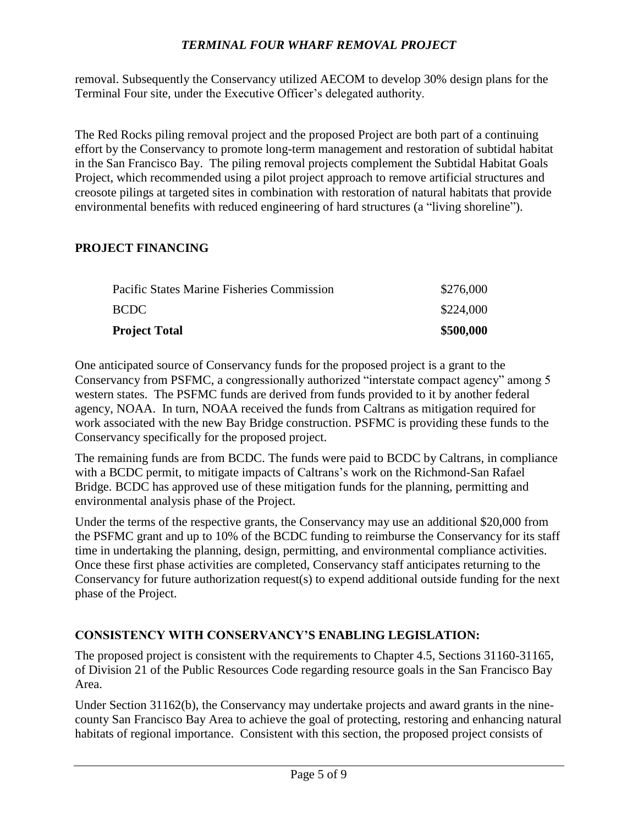removal. Subsequently the Conservancy utilized AECOM to develop 30% design plans for the Terminal Four site, under the Executive Officer's delegated authority.

The Red Rocks piling removal project and the proposed Project are both part of a continuing effort by the Conservancy to promote long-term management and restoration of subtidal habitat in the San Francisco Bay. The piling removal projects complement the Subtidal Habitat Goals Project, which recommended using a pilot project approach to remove artificial structures and creosote pilings at targeted sites in combination with restoration of natural habitats that provide environmental benefits with reduced engineering of hard structures (a "living shoreline").

#### **PROJECT FINANCING**

| <b>Project Total</b>                       | \$500,000 |
|--------------------------------------------|-----------|
| BCDC -                                     | \$224,000 |
| Pacific States Marine Fisheries Commission | \$276,000 |

One anticipated source of Conservancy funds for the proposed project is a grant to the Conservancy from PSFMC, a congressionally authorized "interstate compact agency" among 5 western states. The PSFMC funds are derived from funds provided to it by another federal agency, NOAA. In turn, NOAA received the funds from Caltrans as mitigation required for work associated with the new Bay Bridge construction. PSFMC is providing these funds to the Conservancy specifically for the proposed project.

The remaining funds are from BCDC. The funds were paid to BCDC by Caltrans, in compliance with a BCDC permit, to mitigate impacts of Caltrans's work on the Richmond-San Rafael Bridge. BCDC has approved use of these mitigation funds for the planning, permitting and environmental analysis phase of the Project.

Under the terms of the respective grants, the Conservancy may use an additional \$20,000 from the PSFMC grant and up to 10% of the BCDC funding to reimburse the Conservancy for its staff time in undertaking the planning, design, permitting, and environmental compliance activities. Once these first phase activities are completed, Conservancy staff anticipates returning to the Conservancy for future authorization request(s) to expend additional outside funding for the next phase of the Project.

### **CONSISTENCY WITH CONSERVANCY'S ENABLING LEGISLATION:**

The proposed project is consistent with the requirements to Chapter 4.5, Sections 31160-31165, of Division 21 of the Public Resources Code regarding resource goals in the San Francisco Bay Area.

Under Section 31162(b), the Conservancy may undertake projects and award grants in the ninecounty San Francisco Bay Area to achieve the goal of protecting, restoring and enhancing natural habitats of regional importance. Consistent with this section, the proposed project consists of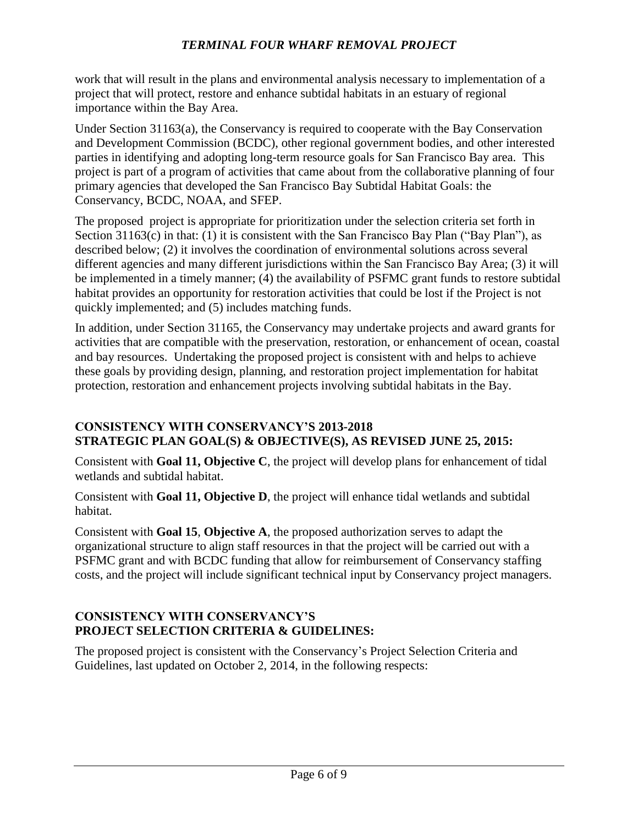work that will result in the plans and environmental analysis necessary to implementation of a project that will protect, restore and enhance subtidal habitats in an estuary of regional importance within the Bay Area.

Under Section 31163(a), the Conservancy is required to cooperate with the Bay Conservation and Development Commission (BCDC), other regional government bodies, and other interested parties in identifying and adopting long-term resource goals for San Francisco Bay area. This project is part of a program of activities that came about from the collaborative planning of four primary agencies that developed the San Francisco Bay Subtidal Habitat Goals: the Conservancy, BCDC, NOAA, and SFEP.

The proposed project is appropriate for prioritization under the selection criteria set forth in Section 31163(c) in that: (1) it is consistent with the San Francisco Bay Plan ("Bay Plan"), as described below; (2) it involves the coordination of environmental solutions across several different agencies and many different jurisdictions within the San Francisco Bay Area; (3) it will be implemented in a timely manner; (4) the availability of PSFMC grant funds to restore subtidal habitat provides an opportunity for restoration activities that could be lost if the Project is not quickly implemented; and (5) includes matching funds.

In addition, under Section 31165, the Conservancy may undertake projects and award grants for activities that are compatible with the preservation, restoration, or enhancement of ocean, coastal and bay resources. Undertaking the proposed project is consistent with and helps to achieve these goals by providing design, planning, and restoration project implementation for habitat protection, restoration and enhancement projects involving subtidal habitats in the Bay.

### **CONSISTENCY WITH CONSERVANCY'S 2013-2018 STRATEGIC PLAN GOAL(S) & OBJECTIVE(S), AS REVISED JUNE 25, 2015:**

Consistent with **Goal 11, Objective C**, the project will develop plans for enhancement of tidal wetlands and subtidal habitat.

Consistent with **Goal 11, Objective D**, the project will enhance tidal wetlands and subtidal habitat.

Consistent with **Goal 15**, **Objective A**, the proposed authorization serves to adapt the organizational structure to align staff resources in that the project will be carried out with a PSFMC grant and with BCDC funding that allow for reimbursement of Conservancy staffing costs, and the project will include significant technical input by Conservancy project managers.

### **CONSISTENCY WITH CONSERVANCY'S PROJECT SELECTION CRITERIA & GUIDELINES:**

The proposed project is consistent with the Conservancy's Project Selection Criteria and Guidelines, last updated on October 2, 2014, in the following respects: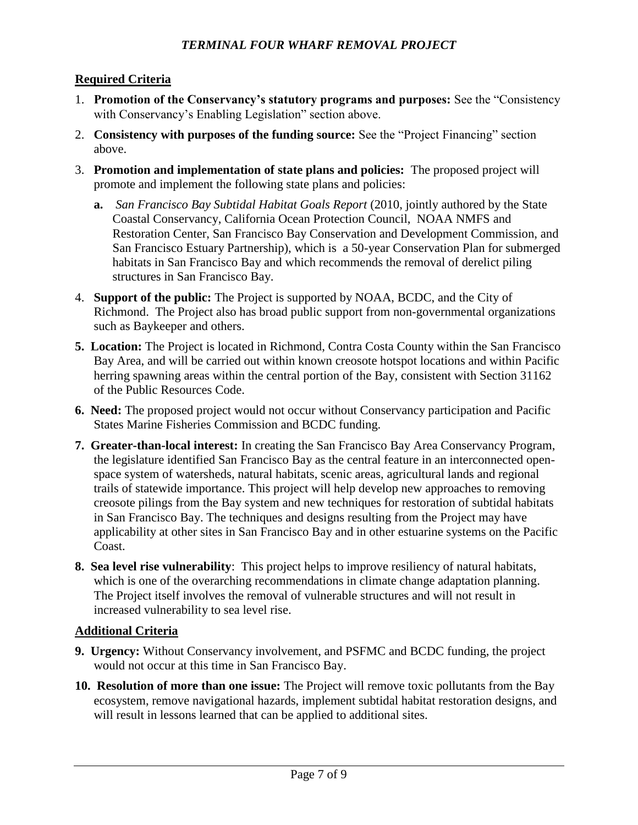### **Required Criteria**

- 1. **Promotion of the Conservancy's statutory programs and purposes:** See the "Consistency with Conservancy's Enabling Legislation" section above.
- 2. **Consistency with purposes of the funding source:** See the "Project Financing" section above.
- 3. **Promotion and implementation of state plans and policies:** The proposed project will promote and implement the following state plans and policies:
	- **a.** *San Francisco Bay Subtidal Habitat Goals Report* (2010, jointly authored by the State Coastal Conservancy, California Ocean Protection Council, NOAA NMFS and Restoration Center, San Francisco Bay Conservation and Development Commission, and San Francisco Estuary Partnership), which is a 50-year Conservation Plan for submerged habitats in San Francisco Bay and which recommends the removal of derelict piling structures in San Francisco Bay.
- 4. **Support of the public:** The Project is supported by NOAA, BCDC, and the City of Richmond. The Project also has broad public support from non-governmental organizations such as Baykeeper and others.
- **5. Location:** The Project is located in Richmond, Contra Costa County within the San Francisco Bay Area, and will be carried out within known creosote hotspot locations and within Pacific herring spawning areas within the central portion of the Bay, consistent with Section 31162 of the Public Resources Code.
- **6. Need:** The proposed project would not occur without Conservancy participation and Pacific States Marine Fisheries Commission and BCDC funding.
- **7. Greater-than-local interest:** In creating the San Francisco Bay Area Conservancy Program, the legislature identified San Francisco Bay as the central feature in an interconnected openspace system of watersheds, natural habitats, scenic areas, agricultural lands and regional trails of statewide importance. This project will help develop new approaches to removing creosote pilings from the Bay system and new techniques for restoration of subtidal habitats in San Francisco Bay. The techniques and designs resulting from the Project may have applicability at other sites in San Francisco Bay and in other estuarine systems on the Pacific Coast.
- **8. Sea level rise vulnerability**: This project helps to improve resiliency of natural habitats, which is one of the overarching recommendations in climate change adaptation planning. The Project itself involves the removal of vulnerable structures and will not result in increased vulnerability to sea level rise.

#### **Additional Criteria**

- **9. Urgency:** Without Conservancy involvement, and PSFMC and BCDC funding, the project would not occur at this time in San Francisco Bay.
- **10. Resolution of more than one issue:** The Project will remove toxic pollutants from the Bay ecosystem, remove navigational hazards, implement subtidal habitat restoration designs, and will result in lessons learned that can be applied to additional sites.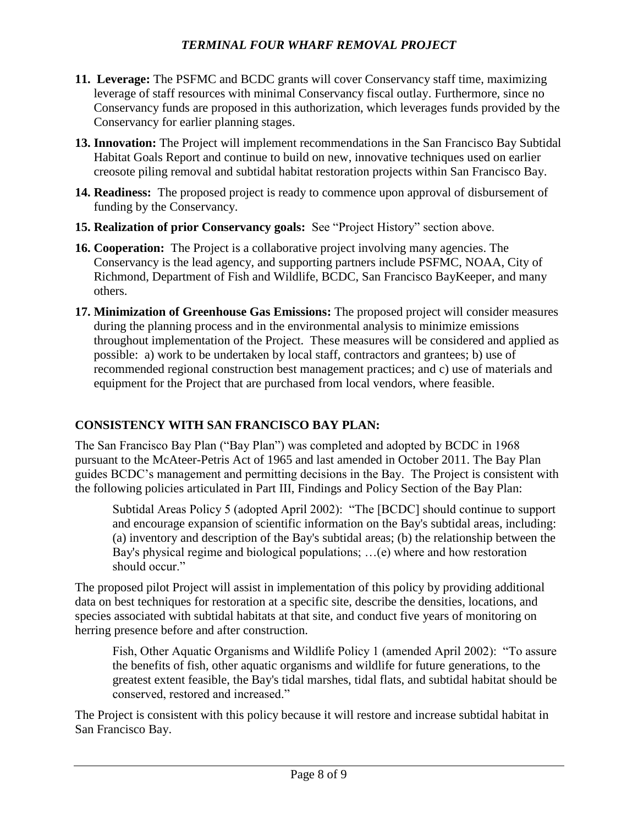- **11. Leverage:** The PSFMC and BCDC grants will cover Conservancy staff time, maximizing leverage of staff resources with minimal Conservancy fiscal outlay. Furthermore, since no Conservancy funds are proposed in this authorization, which leverages funds provided by the Conservancy for earlier planning stages.
- **13. Innovation:** The Project will implement recommendations in the San Francisco Bay Subtidal Habitat Goals Report and continue to build on new, innovative techniques used on earlier creosote piling removal and subtidal habitat restoration projects within San Francisco Bay.
- **14. Readiness:** The proposed project is ready to commence upon approval of disbursement of funding by the Conservancy.
- **15. Realization of prior Conservancy goals:** See "Project History" section above.
- **16. Cooperation:** The Project is a collaborative project involving many agencies. The Conservancy is the lead agency, and supporting partners include PSFMC, NOAA, City of Richmond, Department of Fish and Wildlife, BCDC, San Francisco BayKeeper, and many others.
- **17. Minimization of Greenhouse Gas Emissions:** The proposed project will consider measures during the planning process and in the environmental analysis to minimize emissions throughout implementation of the Project. These measures will be considered and applied as possible: a) work to be undertaken by local staff, contractors and grantees; b) use of recommended regional construction best management practices; and c) use of materials and equipment for the Project that are purchased from local vendors, where feasible.

# **CONSISTENCY WITH SAN FRANCISCO BAY PLAN:**

The San Francisco Bay Plan ("Bay Plan") was completed and adopted by BCDC in 1968 pursuant to the McAteer-Petris Act of 1965 and last amended in October 2011. The Bay Plan guides BCDC's management and permitting decisions in the Bay. The Project is consistent with the following policies articulated in Part III, Findings and Policy Section of the Bay Plan:

Subtidal Areas Policy 5 (adopted April 2002): "The [BCDC] should continue to support and encourage expansion of scientific information on the Bay's subtidal areas, including: (a) inventory and description of the Bay's subtidal areas; (b) the relationship between the Bay's physical regime and biological populations; …(e) where and how restoration should occur."

The proposed pilot Project will assist in implementation of this policy by providing additional data on best techniques for restoration at a specific site, describe the densities, locations, and species associated with subtidal habitats at that site, and conduct five years of monitoring on herring presence before and after construction.

Fish, Other Aquatic Organisms and Wildlife Policy 1 (amended April 2002): "To assure the benefits of fish, other aquatic organisms and wildlife for future generations, to the greatest extent feasible, the Bay's tidal marshes, tidal flats, and subtidal habitat should be conserved, restored and increased."

The Project is consistent with this policy because it will restore and increase subtidal habitat in San Francisco Bay.